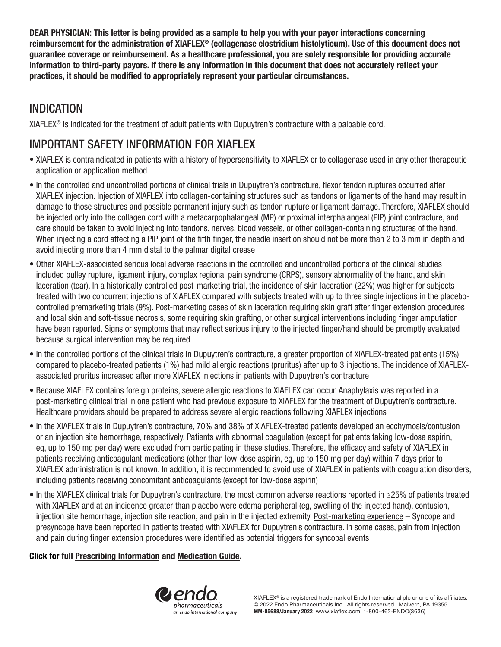DEAR PHYSICIAN: This letter is being provided as a sample to help you with your payor interactions concerning reimbursement for the administration of XIAFLEX® (collagenase clostridium histolyticum). Use of this document does not guarantee coverage or reimbursement. As a healthcare professional, you are solely responsible for providing accurate information to third-party payors. If there is any information in this document that does not accurately reflect your practices, it should be modified to appropriately represent your particular circumstances.

## INDICATION

XIAFLEX® is indicated for the treatment of adult patients with Dupuytren's contracture with a palpable cord.

# IMPORTANT SAFETY INFORMATION FOR XIAFLEX

- XIAFLEX is contraindicated in patients with a history of hypersensitivity to XIAFLEX or to collagenase used in any other therapeutic application or application method
- In the controlled and uncontrolled portions of clinical trials in Dupuytren's contracture, flexor tendon ruptures occurred after XIAFLEX injection. Injection of XIAFLEX into collagen-containing structures such as tendons or ligaments of the hand may result in damage to those structures and possible permanent injury such as tendon rupture or ligament damage. Therefore, XIAFLEX should be injected only into the collagen cord with a metacarpophalangeal (MP) or proximal interphalangeal (PIP) joint contracture, and care should be taken to avoid injecting into tendons, nerves, blood vessels, or other collagen-containing structures of the hand. When injecting a cord affecting a PIP joint of the fifth finger, the needle insertion should not be more than 2 to 3 mm in depth and avoid injecting more than 4 mm distal to the palmar digital crease
- Other XIAFLEX-associated serious local adverse reactions in the controlled and uncontrolled portions of the clinical studies included pulley rupture, ligament injury, complex regional pain syndrome (CRPS), sensory abnormality of the hand, and skin laceration (tear). In a historically controlled post-marketing trial, the incidence of skin laceration (22%) was higher for subjects treated with two concurrent injections of XIAFLEX compared with subjects treated with up to three single injections in the placebocontrolled premarketing trials (9%). Post-marketing cases of skin laceration requiring skin graft after finger extension procedures and local skin and soft-tissue necrosis, some requiring skin grafting, or other surgical interventions including finger amputation have been reported. Signs or symptoms that may reflect serious injury to the injected finger/hand should be promptly evaluated because surgical intervention may be required
- In the controlled portions of the clinical trials in Dupuytren's contracture, a greater proportion of XIAFLEX-treated patients (15%) compared to placebo-treated patients (1%) had mild allergic reactions (pruritus) after up to 3 injections. The incidence of XIAFLEXassociated pruritus increased after more XIAFLEX injections in patients with Dupuytren's contracture
- Because XIAFLEX contains foreign proteins, severe allergic reactions to XIAFLEX can occur. Anaphylaxis was reported in a post-marketing clinical trial in one patient who had previous exposure to XIAFLEX for the treatment of Dupuytren's contracture. Healthcare providers should be prepared to address severe allergic reactions following XIAFLEX injections
- In the XIAFLEX trials in Dupuytren's contracture, 70% and 38% of XIAFLEX-treated patients developed an ecchymosis/contusion or an injection site hemorrhage, respectively. Patients with abnormal coagulation (except for patients taking low-dose aspirin, eg, up to 150 mg per day) were excluded from participating in these studies. Therefore, the efficacy and safety of XIAFLEX in patients receiving anticoagulant medications (other than low-dose aspirin, eg, up to 150 mg per day) within 7 days prior to XIAFLEX administration is not known. In addition, it is recommended to avoid use of XIAFLEX in patients with coagulation disorders, including patients receiving concomitant anticoagulants (except for low-dose aspirin)
- In the XIAFLEX clinical trials for Dupuytren's contracture, the most common adverse reactions reported in ≥25% of patients treated with XIAFLEX and at an incidence greater than placebo were edema peripheral (eg, swelling of the injected hand), contusion, injection site hemorrhage, injection site reaction, and pain in the injected extremity. Post-marketing experience – Syncope and presyncope have been reported in patients treated with XIAFLEX for Dupuytren's contracture. In some cases, pain from injection and pain during finger extension procedures were identified as potential triggers for syncopal events

### Click for full [Prescribing Information](https://www.endodocuments.com/XIAFLEX/PI) and [Medication Guide.](https://www.endodocuments.com/XIAFLEX_DC/MG)